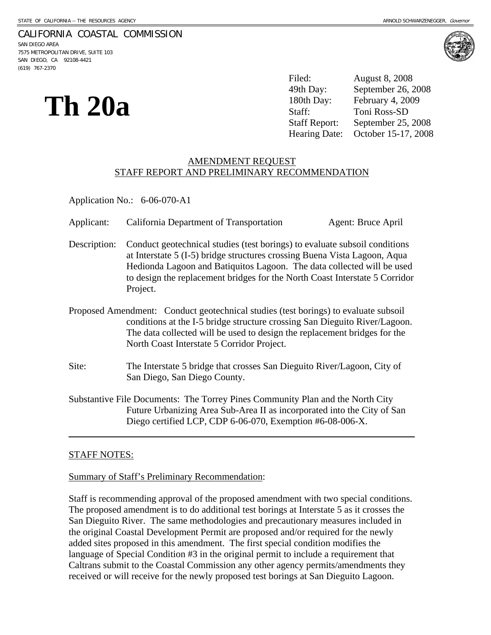### CALIFORNIA COASTAL COMMISSION

SAN DIEGO AREA 7575 METROPOLITAN DRIVE, SUITE 103 SAN DIEGO, CA 92108-4421 (619) 767-2370



**Th** 20a **180th Day:** September 26,<br>
180th Day: February 4, 20<br>
Staff: Toni Ross-SD<br>
Staff Report: September 25, Filed: August 8, 2008 September 26, 2008 February 4, 2009 September 25, 2008 Hearing Date: October 15-17, 2008

# AMENDMENT REQUEST STAFF REPORT AND PRELIMINARY RECOMMENDATION

Application No.: 6-06-070-A1

- Applicant: California Department of Transportation Agent: Bruce April
- Description: Conduct geotechnical studies (test borings) to evaluate subsoil conditions at Interstate 5 (I-5) bridge structures crossing Buena Vista Lagoon, Aqua Hedionda Lagoon and Batiquitos Lagoon. The data collected will be used to design the replacement bridges for the North Coast Interstate 5 Corridor Project.
- Proposed Amendment: Conduct geotechnical studies (test borings) to evaluate subsoil conditions at the I-5 bridge structure crossing San Dieguito River/Lagoon. The data collected will be used to design the replacement bridges for the North Coast Interstate 5 Corridor Project.
- Site: The Interstate 5 bridge that crosses San Dieguito River/Lagoon, City of San Diego, San Diego County.
- Substantive File Documents: The Torrey Pines Community Plan and the North City Future Urbanizing Area Sub-Area II as incorporated into the City of San Diego certified LCP, CDP 6-06-070, Exemption #6-08-006-X.

## STAFF NOTES:

 $\overline{a}$ 

## Summary of Staff's Preliminary Recommendation:

Staff is recommending approval of the proposed amendment with two special conditions. The proposed amendment is to do additional test borings at Interstate 5 as it crosses the San Dieguito River. The same methodologies and precautionary measures included in the original Coastal Development Permit are proposed and/or required for the newly added sites proposed in this amendment. The first special condition modifies the language of Special Condition #3 in the original permit to include a requirement that Caltrans submit to the Coastal Commission any other agency permits/amendments they received or will receive for the newly proposed test borings at San Dieguito Lagoon.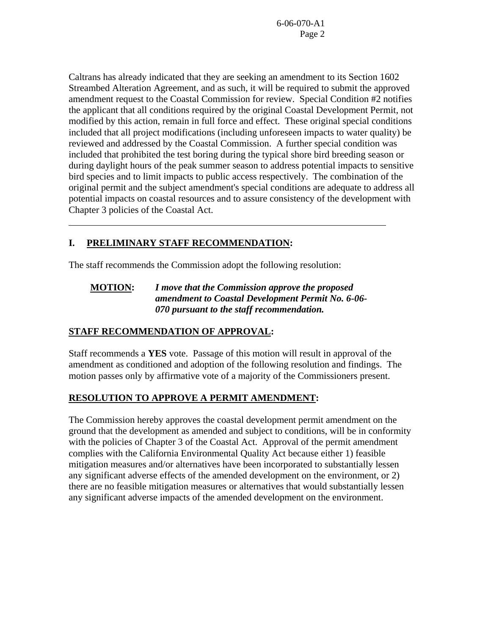Caltrans has already indicated that they are seeking an amendment to its Section 1602 Streambed Alteration Agreement, and as such, it will be required to submit the approved amendment request to the Coastal Commission for review. Special Condition #2 notifies the applicant that all conditions required by the original Coastal Development Permit, not modified by this action, remain in full force and effect. These original special conditions included that all project modifications (including unforeseen impacts to water quality) be reviewed and addressed by the Coastal Commission. A further special condition was included that prohibited the test boring during the typical shore bird breeding season or during daylight hours of the peak summer season to address potential impacts to sensitive bird species and to limit impacts to public access respectively. The combination of the original permit and the subject amendment's special conditions are adequate to address all potential impacts on coastal resources and to assure consistency of the development with Chapter 3 policies of the Coastal Act.

## **I. PRELIMINARY STAFF RECOMMENDATION:**

 $\overline{a}$ 

The staff recommends the Commission adopt the following resolution:

## **MOTION:** *I move that the Commission approve the proposed amendment to Coastal Development Permit No. 6-06- 070 pursuant to the staff recommendation.*

## **STAFF RECOMMENDATION OF APPROVAL:**

Staff recommends a **YES** vote. Passage of this motion will result in approval of the amendment as conditioned and adoption of the following resolution and findings. The motion passes only by affirmative vote of a majority of the Commissioners present.

## **RESOLUTION TO APPROVE A PERMIT AMENDMENT:**

The Commission hereby approves the coastal development permit amendment on the ground that the development as amended and subject to conditions, will be in conformity with the policies of Chapter 3 of the Coastal Act. Approval of the permit amendment complies with the California Environmental Quality Act because either 1) feasible mitigation measures and/or alternatives have been incorporated to substantially lessen any significant adverse effects of the amended development on the environment, or 2) there are no feasible mitigation measures or alternatives that would substantially lessen any significant adverse impacts of the amended development on the environment.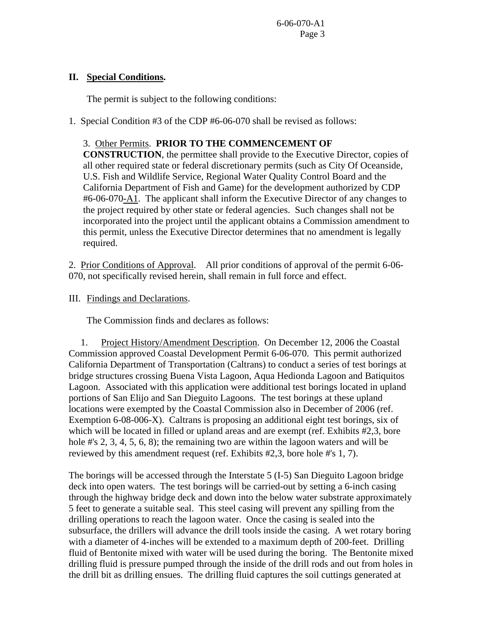## **II. Special Conditions.**

The permit is subject to the following conditions:

1. Special Condition #3 of the CDP #6-06-070 shall be revised as follows:

# 3. Other Permits. **PRIOR TO THE COMMENCEMENT OF**

**CONSTRUCTION**, the permittee shall provide to the Executive Director, copies of all other required state or federal discretionary permits (such as City Of Oceanside, U.S. Fish and Wildlife Service, Regional Water Quality Control Board and the California Department of Fish and Game) for the development authorized by CDP #6-06-070-A1. The applicant shall inform the Executive Director of any changes to the project required by other state or federal agencies. Such changes shall not be incorporated into the project until the applicant obtains a Commission amendment to this permit, unless the Executive Director determines that no amendment is legally required.

2. Prior Conditions of Approval. All prior conditions of approval of the permit 6-06- 070, not specifically revised herein, shall remain in full force and effect.

III. Findings and Declarations.

The Commission finds and declares as follows:

 1. Project History/Amendment Description. On December 12, 2006 the Coastal Commission approved Coastal Development Permit 6-06-070. This permit authorized California Department of Transportation (Caltrans) to conduct a series of test borings at bridge structures crossing Buena Vista Lagoon, Aqua Hedionda Lagoon and Batiquitos Lagoon. Associated with this application were additional test borings located in upland portions of San Elijo and San Dieguito Lagoons. The test borings at these upland locations were exempted by the Coastal Commission also in December of 2006 (ref. Exemption 6-08-006-X). Caltrans is proposing an additional eight test borings, six of which will be located in filled or upland areas and are exempt (ref. Exhibits #2,3, bore hole #'s 2, 3, 4, 5, 6, 8); the remaining two are within the lagoon waters and will be reviewed by this amendment request (ref. Exhibits #2,3, bore hole #'s 1, 7).

The borings will be accessed through the Interstate 5 (I-5) San Dieguito Lagoon bridge deck into open waters. The test borings will be carried-out by setting a 6-inch casing through the highway bridge deck and down into the below water substrate approximately 5 feet to generate a suitable seal. This steel casing will prevent any spilling from the drilling operations to reach the lagoon water. Once the casing is sealed into the subsurface, the drillers will advance the drill tools inside the casing. A wet rotary boring with a diameter of 4-inches will be extended to a maximum depth of 200-feet. Drilling fluid of Bentonite mixed with water will be used during the boring. The Bentonite mixed drilling fluid is pressure pumped through the inside of the drill rods and out from holes in the drill bit as drilling ensues. The drilling fluid captures the soil cuttings generated at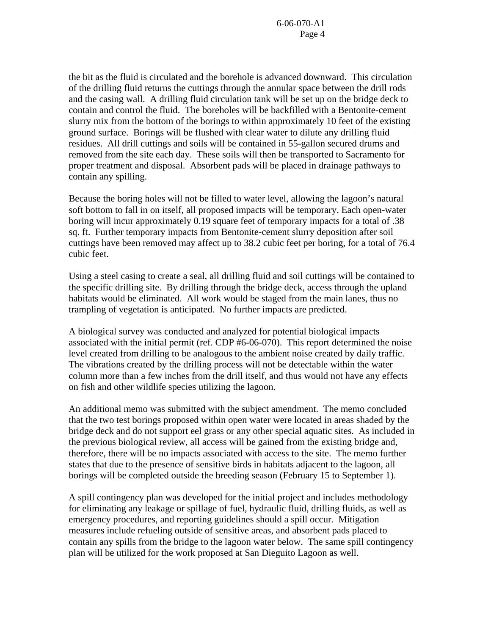the bit as the fluid is circulated and the borehole is advanced downward. This circulation of the drilling fluid returns the cuttings through the annular space between the drill rods and the casing wall. A drilling fluid circulation tank will be set up on the bridge deck to contain and control the fluid. The boreholes will be backfilled with a Bentonite-cement slurry mix from the bottom of the borings to within approximately 10 feet of the existing ground surface. Borings will be flushed with clear water to dilute any drilling fluid residues. All drill cuttings and soils will be contained in 55-gallon secured drums and removed from the site each day. These soils will then be transported to Sacramento for proper treatment and disposal. Absorbent pads will be placed in drainage pathways to contain any spilling.

Because the boring holes will not be filled to water level, allowing the lagoon's natural soft bottom to fall in on itself, all proposed impacts will be temporary. Each open-water boring will incur approximately 0.19 square feet of temporary impacts for a total of .38 sq. ft. Further temporary impacts from Bentonite-cement slurry deposition after soil cuttings have been removed may affect up to 38.2 cubic feet per boring, for a total of 76.4 cubic feet.

Using a steel casing to create a seal, all drilling fluid and soil cuttings will be contained to the specific drilling site. By drilling through the bridge deck, access through the upland habitats would be eliminated. All work would be staged from the main lanes, thus no trampling of vegetation is anticipated. No further impacts are predicted.

A biological survey was conducted and analyzed for potential biological impacts associated with the initial permit (ref. CDP #6-06-070). This report determined the noise level created from drilling to be analogous to the ambient noise created by daily traffic. The vibrations created by the drilling process will not be detectable within the water column more than a few inches from the drill itself, and thus would not have any effects on fish and other wildlife species utilizing the lagoon.

An additional memo was submitted with the subject amendment. The memo concluded that the two test borings proposed within open water were located in areas shaded by the bridge deck and do not support eel grass or any other special aquatic sites. As included in the previous biological review, all access will be gained from the existing bridge and, therefore, there will be no impacts associated with access to the site. The memo further states that due to the presence of sensitive birds in habitats adjacent to the lagoon, all borings will be completed outside the breeding season (February 15 to September 1).

A spill contingency plan was developed for the initial project and includes methodology for eliminating any leakage or spillage of fuel, hydraulic fluid, drilling fluids, as well as emergency procedures, and reporting guidelines should a spill occur. Mitigation measures include refueling outside of sensitive areas, and absorbent pads placed to contain any spills from the bridge to the lagoon water below. The same spill contingency plan will be utilized for the work proposed at San Dieguito Lagoon as well.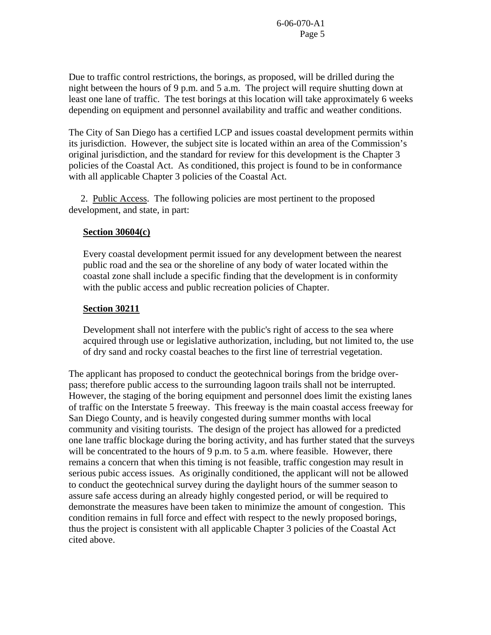Due to traffic control restrictions, the borings, as proposed, will be drilled during the night between the hours of 9 p.m. and 5 a.m. The project will require shutting down at least one lane of traffic. The test borings at this location will take approximately 6 weeks depending on equipment and personnel availability and traffic and weather conditions.

The City of San Diego has a certified LCP and issues coastal development permits within its jurisdiction. However, the subject site is located within an area of the Commission's original jurisdiction, and the standard for review for this development is the Chapter 3 policies of the Coastal Act. As conditioned, this project is found to be in conformance with all applicable Chapter 3 policies of the Coastal Act.

 2. Public Access. The following policies are most pertinent to the proposed development, and state, in part:

## **Section 30604(c)**

Every coastal development permit issued for any development between the nearest public road and the sea or the shoreline of any body of water located within the coastal zone shall include a specific finding that the development is in conformity with the public access and public recreation policies of Chapter.

## **Section 30211**

Development shall not interfere with the public's right of access to the sea where acquired through use or legislative authorization, including, but not limited to, the use of dry sand and rocky coastal beaches to the first line of terrestrial vegetation.

The applicant has proposed to conduct the geotechnical borings from the bridge overpass; therefore public access to the surrounding lagoon trails shall not be interrupted. However, the staging of the boring equipment and personnel does limit the existing lanes of traffic on the Interstate 5 freeway. This freeway is the main coastal access freeway for San Diego County, and is heavily congested during summer months with local community and visiting tourists. The design of the project has allowed for a predicted one lane traffic blockage during the boring activity, and has further stated that the surveys will be concentrated to the hours of 9 p.m. to 5 a.m. where feasible. However, there remains a concern that when this timing is not feasible, traffic congestion may result in serious pubic access issues. As originally conditioned, the applicant will not be allowed to conduct the geotechnical survey during the daylight hours of the summer season to assure safe access during an already highly congested period, or will be required to demonstrate the measures have been taken to minimize the amount of congestion. This condition remains in full force and effect with respect to the newly proposed borings, thus the project is consistent with all applicable Chapter 3 policies of the Coastal Act cited above.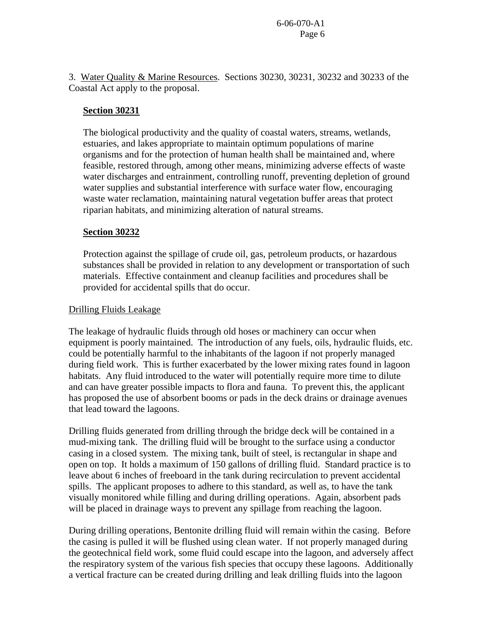3. Water Quality & Marine Resources. Sections 30230, 30231, 30232 and 30233 of the Coastal Act apply to the proposal.

## **Section 30231**

The biological productivity and the quality of coastal waters, streams, wetlands, estuaries, and lakes appropriate to maintain optimum populations of marine organisms and for the protection of human health shall be maintained and, where feasible, restored through, among other means, minimizing adverse effects of waste water discharges and entrainment, controlling runoff, preventing depletion of ground water supplies and substantial interference with surface water flow, encouraging waste water reclamation, maintaining natural vegetation buffer areas that protect riparian habitats, and minimizing alteration of natural streams.

## **Section 30232**

Protection against the spillage of crude oil, gas, petroleum products, or hazardous substances shall be provided in relation to any development or transportation of such materials. Effective containment and cleanup facilities and procedures shall be provided for accidental spills that do occur.

## Drilling Fluids Leakage

The leakage of hydraulic fluids through old hoses or machinery can occur when equipment is poorly maintained. The introduction of any fuels, oils, hydraulic fluids, etc. could be potentially harmful to the inhabitants of the lagoon if not properly managed during field work. This is further exacerbated by the lower mixing rates found in lagoon habitats. Any fluid introduced to the water will potentially require more time to dilute and can have greater possible impacts to flora and fauna. To prevent this, the applicant has proposed the use of absorbent booms or pads in the deck drains or drainage avenues that lead toward the lagoons.

Drilling fluids generated from drilling through the bridge deck will be contained in a mud-mixing tank. The drilling fluid will be brought to the surface using a conductor casing in a closed system. The mixing tank, built of steel, is rectangular in shape and open on top. It holds a maximum of 150 gallons of drilling fluid. Standard practice is to leave about 6 inches of freeboard in the tank during recirculation to prevent accidental spills. The applicant proposes to adhere to this standard, as well as, to have the tank visually monitored while filling and during drilling operations. Again, absorbent pads will be placed in drainage ways to prevent any spillage from reaching the lagoon.

During drilling operations, Bentonite drilling fluid will remain within the casing. Before the casing is pulled it will be flushed using clean water. If not properly managed during the geotechnical field work, some fluid could escape into the lagoon, and adversely affect the respiratory system of the various fish species that occupy these lagoons. Additionally a vertical fracture can be created during drilling and leak drilling fluids into the lagoon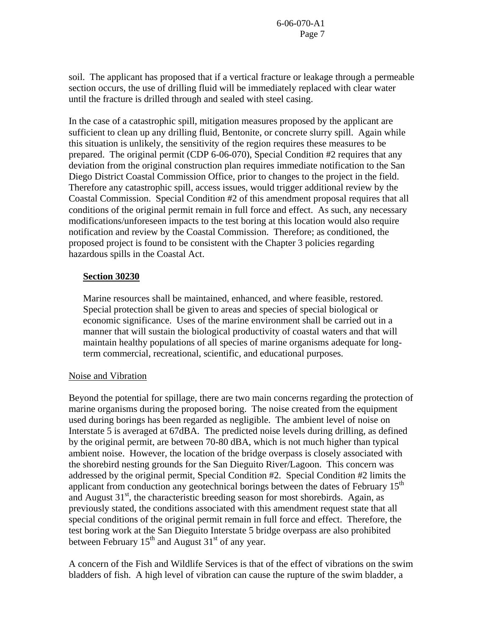soil. The applicant has proposed that if a vertical fracture or leakage through a permeable section occurs, the use of drilling fluid will be immediately replaced with clear water until the fracture is drilled through and sealed with steel casing.

In the case of a catastrophic spill, mitigation measures proposed by the applicant are sufficient to clean up any drilling fluid, Bentonite, or concrete slurry spill. Again while this situation is unlikely, the sensitivity of the region requires these measures to be prepared. The original permit (CDP 6-06-070), Special Condition #2 requires that any deviation from the original construction plan requires immediate notification to the San Diego District Coastal Commission Office, prior to changes to the project in the field. Therefore any catastrophic spill, access issues, would trigger additional review by the Coastal Commission. Special Condition #2 of this amendment proposal requires that all conditions of the original permit remain in full force and effect. As such, any necessary modifications/unforeseen impacts to the test boring at this location would also require notification and review by the Coastal Commission. Therefore; as conditioned, the proposed project is found to be consistent with the Chapter 3 policies regarding hazardous spills in the Coastal Act.

### **Section 30230**

Marine resources shall be maintained, enhanced, and where feasible, restored. Special protection shall be given to areas and species of special biological or economic significance. Uses of the marine environment shall be carried out in a manner that will sustain the biological productivity of coastal waters and that will maintain healthy populations of all species of marine organisms adequate for longterm commercial, recreational, scientific, and educational purposes.

#### Noise and Vibration

Beyond the potential for spillage, there are two main concerns regarding the protection of marine organisms during the proposed boring. The noise created from the equipment used during borings has been regarded as negligible. The ambient level of noise on Interstate 5 is averaged at 67dBA. The predicted noise levels during drilling, as defined by the original permit, are between 70-80 dBA, which is not much higher than typical ambient noise. However, the location of the bridge overpass is closely associated with the shorebird nesting grounds for the San Dieguito River/Lagoon. This concern was addressed by the original permit, Special Condition #2. Special Condition #2 limits the applicant from conduction any geotechnical borings between the dates of February  $15<sup>th</sup>$ and August  $31<sup>st</sup>$ , the characteristic breeding season for most shorebirds. Again, as previously stated, the conditions associated with this amendment request state that all special conditions of the original permit remain in full force and effect. Therefore, the test boring work at the San Dieguito Interstate 5 bridge overpass are also prohibited between February  $15<sup>th</sup>$  and August  $31<sup>st</sup>$  of any year.

A concern of the Fish and Wildlife Services is that of the effect of vibrations on the swim bladders of fish. A high level of vibration can cause the rupture of the swim bladder, a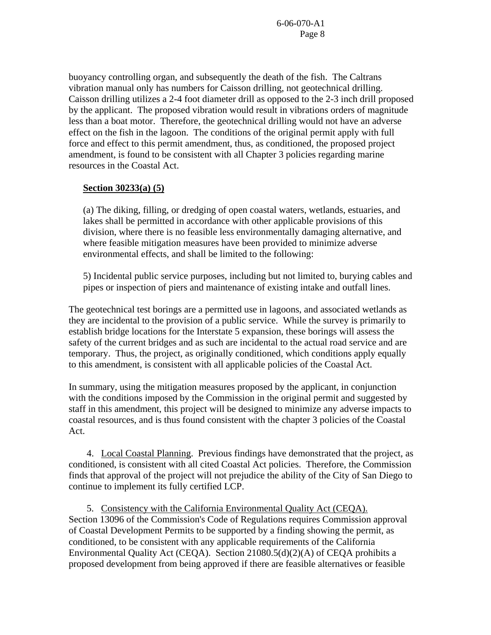buoyancy controlling organ, and subsequently the death of the fish. The Caltrans vibration manual only has numbers for Caisson drilling, not geotechnical drilling. Caisson drilling utilizes a 2-4 foot diameter drill as opposed to the 2-3 inch drill proposed by the applicant. The proposed vibration would result in vibrations orders of magnitude less than a boat motor. Therefore, the geotechnical drilling would not have an adverse effect on the fish in the lagoon. The conditions of the original permit apply with full force and effect to this permit amendment, thus, as conditioned, the proposed project amendment, is found to be consistent with all Chapter 3 policies regarding marine resources in the Coastal Act.

#### **Section 30233(a) (5)**

(a) The diking, filling, or dredging of open coastal waters, wetlands, estuaries, and lakes shall be permitted in accordance with other applicable provisions of this division, where there is no feasible less environmentally damaging alternative, and where feasible mitigation measures have been provided to minimize adverse environmental effects, and shall be limited to the following:

5) Incidental public service purposes, including but not limited to, burying cables and pipes or inspection of piers and maintenance of existing intake and outfall lines.

The geotechnical test borings are a permitted use in lagoons, and associated wetlands as they are incidental to the provision of a public service. While the survey is primarily to establish bridge locations for the Interstate 5 expansion, these borings will assess the safety of the current bridges and as such are incidental to the actual road service and are temporary. Thus, the project, as originally conditioned, which conditions apply equally to this amendment, is consistent with all applicable policies of the Coastal Act.

In summary, using the mitigation measures proposed by the applicant, in conjunction with the conditions imposed by the Commission in the original permit and suggested by staff in this amendment, this project will be designed to minimize any adverse impacts to coastal resources, and is thus found consistent with the chapter 3 policies of the Coastal Act.

 4. Local Coastal Planning. Previous findings have demonstrated that the project, as conditioned, is consistent with all cited Coastal Act policies. Therefore, the Commission finds that approval of the project will not prejudice the ability of the City of San Diego to continue to implement its fully certified LCP.

5. Consistency with the California Environmental Quality Act (CEQA). Section 13096 of the Commission's Code of Regulations requires Commission approval of Coastal Development Permits to be supported by a finding showing the permit, as conditioned, to be consistent with any applicable requirements of the California Environmental Quality Act (CEQA). Section 21080.5(d)(2)(A) of CEQA prohibits a proposed development from being approved if there are feasible alternatives or feasible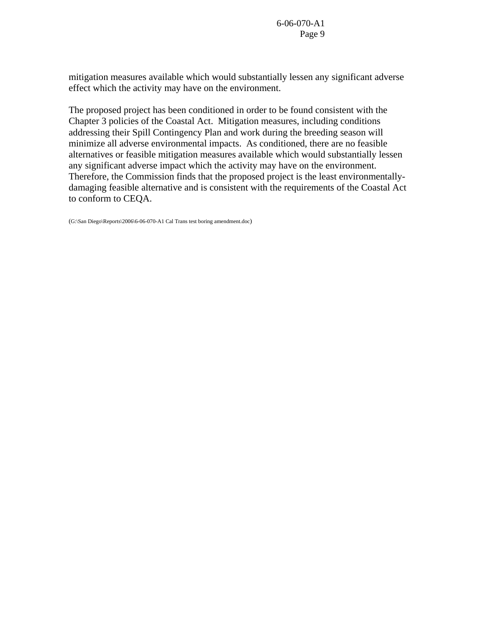mitigation measures available which would substantially lessen any significant adverse effect which the activity may have on the environment.

The proposed project has been conditioned in order to be found consistent with the Chapter 3 policies of the Coastal Act. Mitigation measures, including conditions addressing their Spill Contingency Plan and work during the breeding season will minimize all adverse environmental impacts. As conditioned, there are no feasible alternatives or feasible mitigation measures available which would substantially lessen any significant adverse impact which the activity may have on the environment. Therefore, the Commission finds that the proposed project is the least environmentallydamaging feasible alternative and is consistent with the requirements of the Coastal Act to conform to CEQA.

(G:\San Diego\Reports\2006\6-06-070-A1 Cal Trans test boring amendment.doc)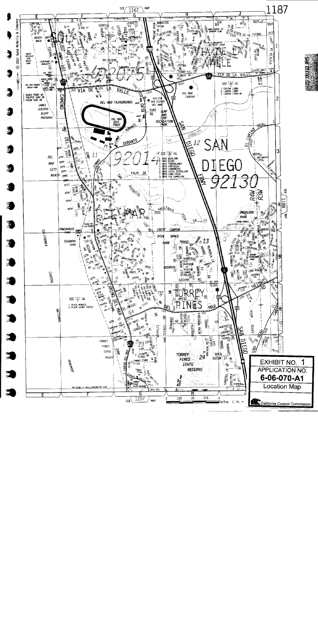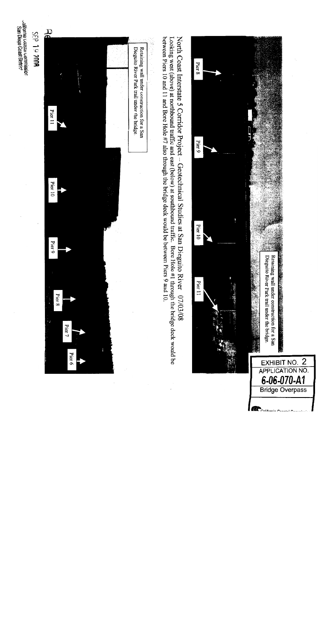

olifornia Goastai commission.<br>San Diego Coast Distric